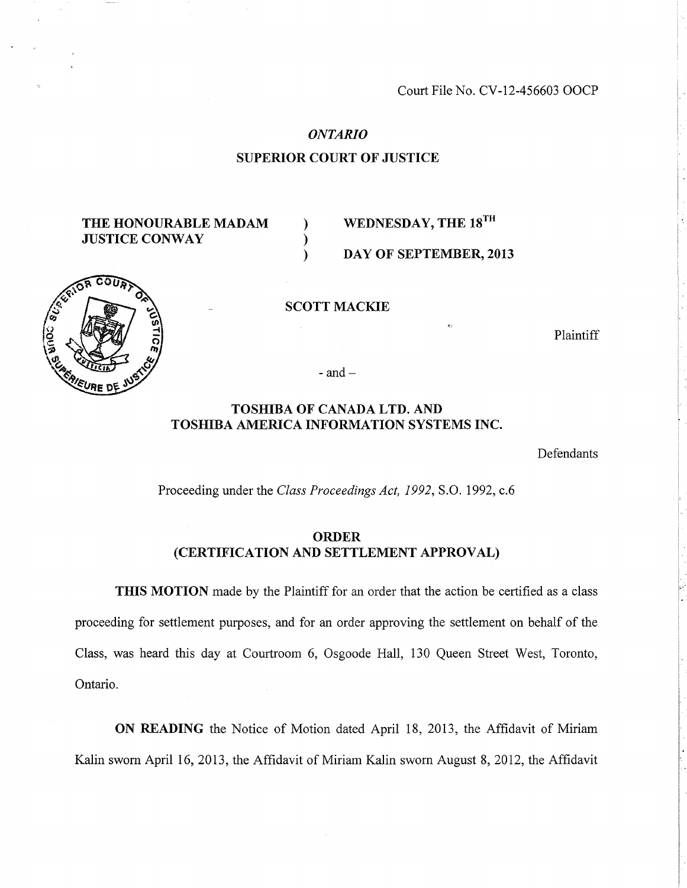Court File No. CV-12-456603 OOCP

#### *ONTARIO*

# **SUPERIOR COURT OF JUSTICE**

) )  $\lambda$ 

# **THE HONOURABLE MADAM JUSTICE CONWAY**

# **WEDNESDAY, THE 18TH**

# **DAY OF SEPTEMBER, 2013**

**SCOTT MACKIE** 

Plaintiff

- and  $-$ 

# **TOSHIBA OF CANADA LTD. AND TOSHIBA AMERICA INFORMATION SYSTEMS INC.**

Defendants

Proceeding under the *Class Proceedings Act, 1992,* S.O. 1992, c.6

# **ORDER (CERTIFICATION AND SETTLEMENT APPROVAL)**

**THIS MOTION** made by the Plaintiff for an order that the action be certified as a class proceeding for settlement purposes, and for an order approving the settlement on behalf of the Class, was heard this day at Courtroom 6, Osgoode Hall, 130 Queen Street West, Toronto, Ontario.

**ON READING** the Notice of Motion dated April 18, 2013, the Affidavit of Miriam Kalin sworn April 16, 2013, the Affidavit of Miriam Kalin sworn August 8, 2012, the Affidavit

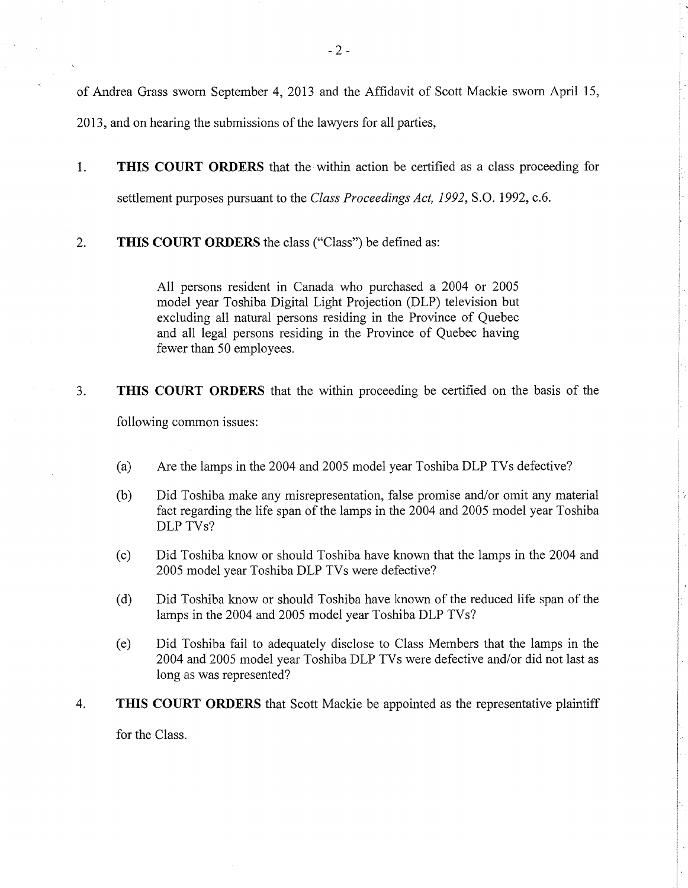of Andrea Grass sworn September 4, 2013 and the Affidavit of Scott Mackie sworn April 15, 2013, and on hearing the submissions of the lawyers for all parties,

- 1. **THIS COURT ORDERS** that the within action be certified as a class proceeding for settlement purposes pursuant to the *Class Proceedings Act, 1992,* S.O. 1992, c.6.
- 2. **THIS COURT ORDERS** the class ("Class") be defined as:

All persons resident in Canada who purchased a 2004 or 2005 model year Toshiba Digital Light Projection (DLP) television but excluding all natural persons residing in the Province of Quebec and all legal persons residing in the Province of Quebec having fewer than 50 employees.

3. **THIS COURT ORDERS** that the within proceeding be certified on the basis of the following common issues:

- (a) Are the lamps in the 2004 and 2005 model year Toshiba DLP TVs defective?
- (b) Did Toshiba make any misrepresentation, false promise and/or omit any material fact regarding the life span of the lamps in the 2004 and 2005 model year Toshiba DLP TVs?
- (c) Did Toshiba know or should Toshiba have known that the lamps in the 2004 and 2005 model year Toshiba DLP TVs were defective?
- (d) Did Toshiba know or should Toshiba have known of the reduced life span of the lamps in the 2004 and 2005 model year Toshiba DLP TVs?
- (e) Did Toshiba fail to adequately disclose to Class Members that the lamps in the 2004 and 2005 model year Toshiba DLP TVs were defective and/or did not last as long as was represented?
- 4. **THIS COURT ORDERS** that Scott Mackie be appointed as the representative plaintiff

for the Class.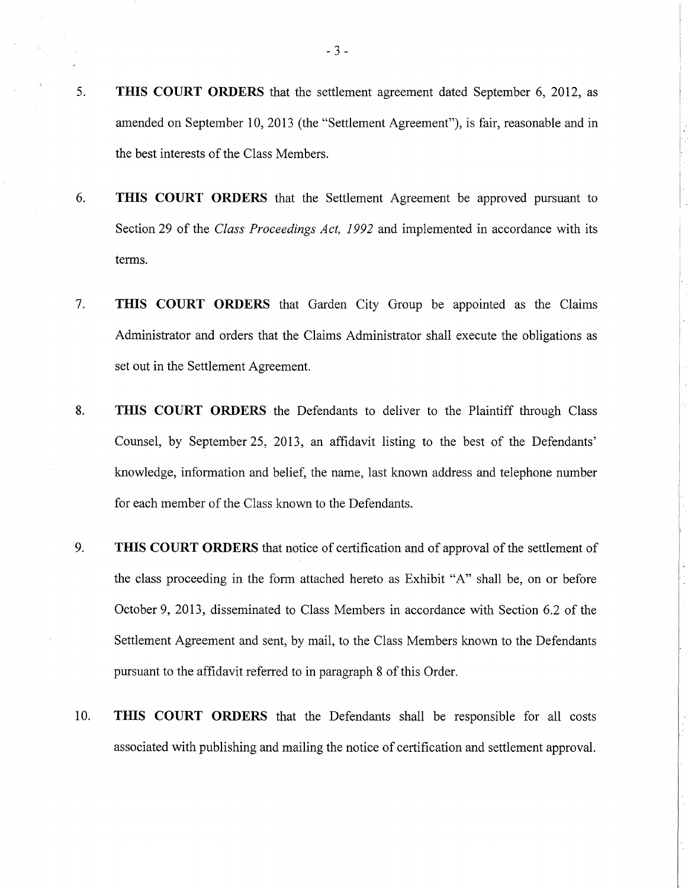- 5. **THIS COURT ORDERS** that the settlement agreement dated September 6, 2012, as amended on September 10, 2013 (the "Settlement Agreement"), is fair, reasonable and in the best interests of the Class Members.
- 6. **THIS COURT ORDERS** that the Settlement Agreement be approved pursuant to Section 29 of the *Class Proceedings Act, 1992* and implemented in accordance with its terms.
- 7. **THIS COURT ORDERS** that Garden City Group be appointed as the Claims Administrator and orders that the Claims Administrator shall execute the obligations as set out in the Settlement Agreement.
- 8. **THIS COURT ORDERS** the Defendants to deliver to the Plaintiff through Class Counsel, by September 25, 2013, an affidavit listing to the best of the Defendants' knowledge, information and belief, the name, last known address and telephone number for each member of the Class known to the Defendants.
- 9. **THIS COURT ORDERS** that notice of certification and of approval of the settlement of the class proceeding in the form attached hereto as Exhibit "A" shall be, on or before October 9, 2013, disseminated to Class Members in accordance with Section 6.2 of the Settlement Agreement and sent, by mail, to the Class Members known to the Defendants pursuant to the affidavit referred to in paragraph 8 of this Order.
- 10. **THIS COURT ORDERS** that the Defendants shall be responsible for all costs associated with publishing and mailing the notice of certification and settlement approval.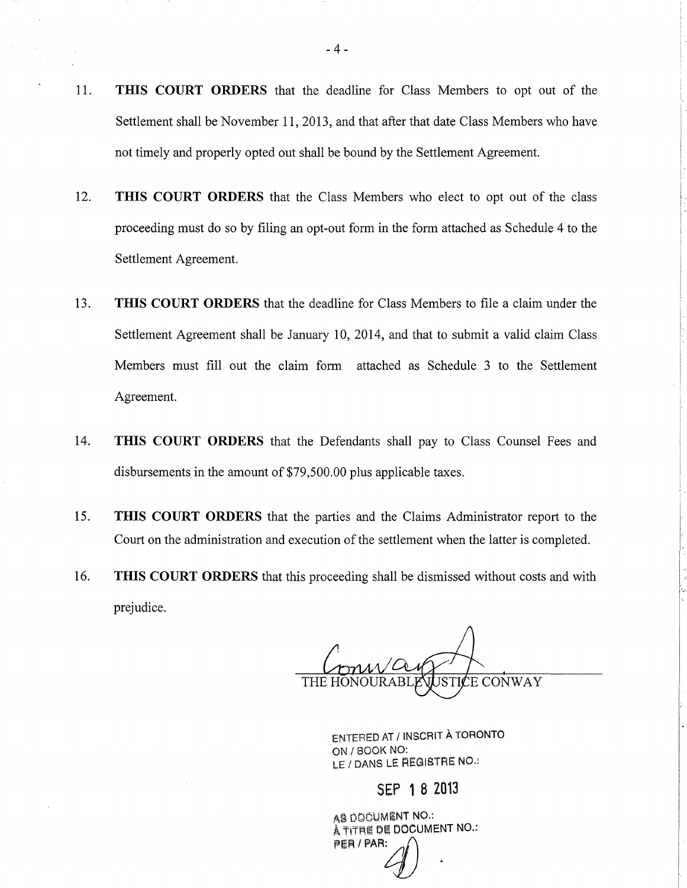- 11. **THIS COURT ORDERS** that the deadline for Class Members to opt out of the Settlement shall be November 11, 2013, and that after that date Class Members who have not timely and properly opted out shall be bound by the Settlement Agreement.
- 12. **THIS COURT ORDERS** that the Class Members who elect to opt out of the class proceeding must do so by filing an opt-out form in the form attached as Schedule 4 to the Settlement Agreement.
- 13. **THIS COURT ORDERS** that the deadline for Class Members to file a claim under the Settlement Agreement shall be January 10, 2014, and that to submit a valid claim Class Members must fill out the claim form attached as Schedule 3 to the Settlement Agreement.
- 14. **THIS COURT ORDERS** that the Defendants shall pay to Class Counsel Fees and disbursements in the amount of \$79,500.00 plus applicable taxes.
- 15. **THIS COURT ORDERS** that the parties and the Claims Administrator report to the Court on the administration and execution of the settlement when the latter is completed.
- 16. **THIS COURT ORDERS** that this proceeding shall be dismissed without costs and with prejudice.

**E CONWAY** THE HO

ENTERED AT /INSCRIT A TORONTO ON /BOOK NO: LE / DANS LE REGISTRE NO.:

SEP 1 B Z013

AS DOOUMENT NO.: À TITRE DE DOCUMENT NO.:  $\sim$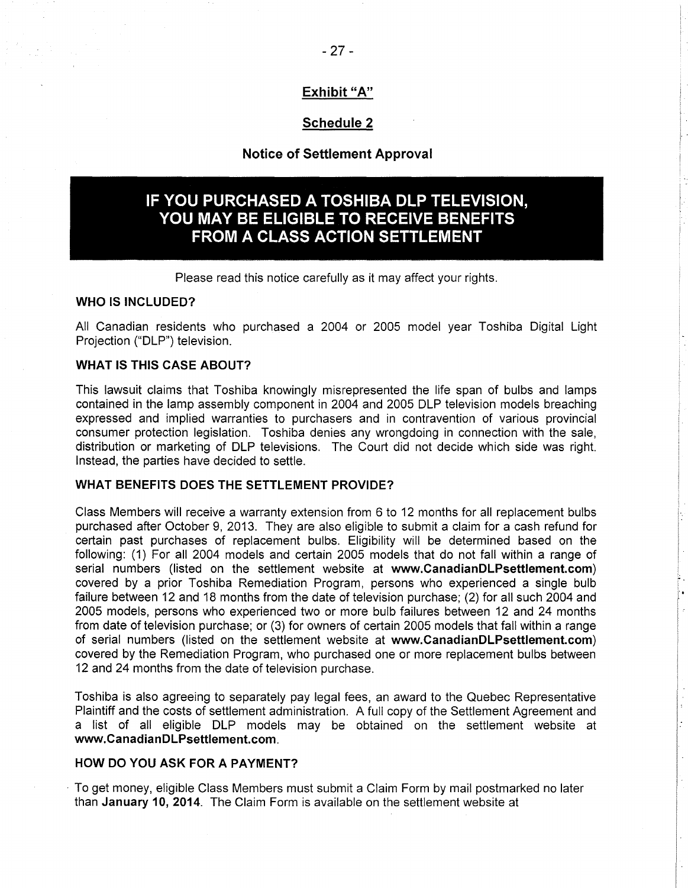# **Exhibit "A"**

# **Schedule 2**

# **Notice of Settlement Approval**

# **IF YOU PURCHASED A TOSHIBA DLP TELEVISION, YOU MAY BE ELIGIBLE TO RECEIVE BENEFITS FROM A CLASS ACTION SETTLEMENT**

Please read this notice carefully as it may affect your rights.

#### **WHO IS INCLUDED?**

All Canadian residents who purchased a 2004 or 2005 model year Toshiba Digital Light Projection ("DLP") television.

#### **WHAT IS THIS CASE ABOUT?**

This lawsuit claims that Toshiba knowingly misrepresented the life span of bulbs and lamps contained in the lamp assembly component in 2004 and 2005 DLP television models breaching expressed and implied warranties to purchasers and in contravention of various provincial consumer protection legislation. Toshiba denies any wrongdoing in connection with the sale, distribution or marketing of DLP televisions. The Court did not decide which side was right. Instead, the parties have decided to settle.

# **WHAT BENEFITS DOES THE SETTLEMENT PROVIDE?**

Class Members will receive a warranty extension from 6 to 12 months for all replacement bulbs purchased after October 9, 2013. They are also eligible to submit a claim for a cash refund for certain past purchases of replacement bulbs. Eligibility will be determined based on the following: (1) For all 2004 models and certain 2005 models that do not fall within a range of serial numbers (listed on the settlement website at **www.CanadianDLPsettlement.com)**  covered by a prior Toshiba Remediation Program, persons who experienced a single bulb failure between 12 and 18 months from the date of television purchase; (2) for all such 2004 and 2005 models, persons who experienced two or more bulb failures between 12 and 24 months from date of television purchase; or (3) for owners of certain 2005 models that fall within a range of serial numbers (listed on the settlement website at **www.CanadianDLPsettlement.com)**  covered by the Remediation Program, who purchased one or more replacement bulbs between 12 and 24 months from the date of television purchase.

Toshiba is also agreeing to separately pay legal fees, an award to the Quebec Representative Plaintiff and the costs of settlement administration. A full copy of the Settlement Agreement and a list of all eligible DLP models may be obtained on the settlement website at **www.CanadianDLPsettlement.com.** 

#### **HOW DO YOU ASK FOR A PAYMENT?**

· To get money, eligible Class Members must submit a Claim Form by mail postmarked no later than **January 10, 2014.** The Claim Form is available on the settlement website at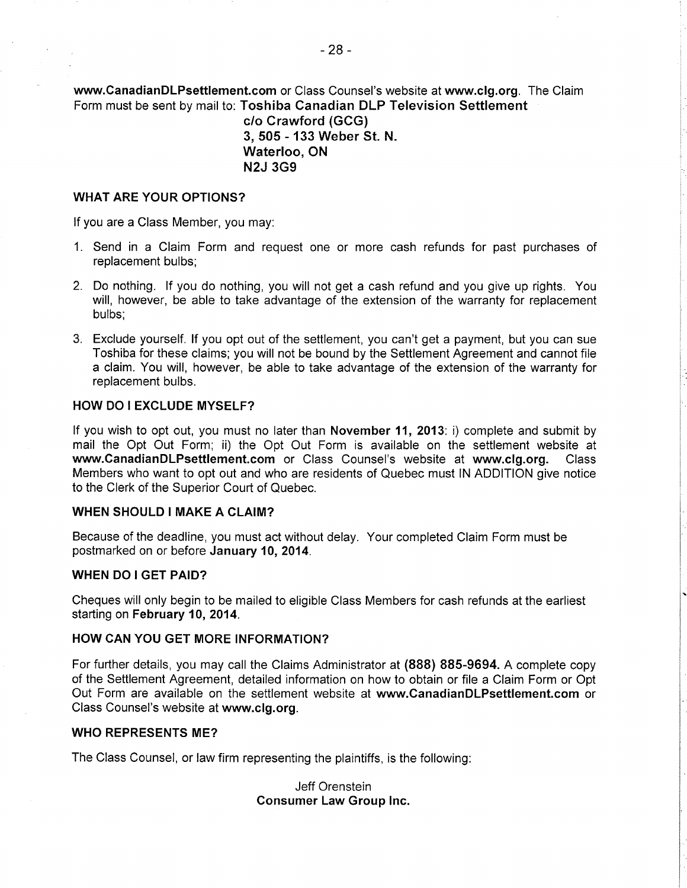**www.CanadianDLPsettlement.com** or Class Counsel's website at **www.clg.org.** The Claim Form must be sent by mail to: **Toshiba Canadian DLP Television Settlement** 

> **c/o Crawford (GCG) 3, 505 - 133 Weber St. N. Waterloo, ON N2J 3G9**

#### **WHAT ARE YOUR OPTIONS?**

If you are a Class Member, you may:

- 1. Send in a Claim Form and request one or more cash refunds for past purchases of replacement bulbs;
- 2. Do nothing. If you do nothing, you will not get a cash refund and you give up rights. You will, however, be able to take advantage of the extension of the warranty for replacement bulbs;
- 3. Exclude yourself. If you opt out of the settlement, you can't get a payment, but you can sue Toshiba for these claims; you will not be bound by the Settlement Agreement and cannot file a claim. You will, however, be able to take advantage of the extension of the warranty for replacement bulbs.

#### **HOW DO I EXCLUDE MYSELF?**

If you wish to opt out, you must no later than **November 11, 2013:** i) complete and submit by mail the Opt Out Form; ii) the Opt Out Form is available on the settlement website at **www.CanadianDLPsettlement.com** or Class Counsel's website at **www.clg.org.** Class Members who want to opt out and who are residents of Quebec must IN ADDITION give notice to the Clerk of the Superior Court of Quebec.

#### **WHEN SHOULD I MAKE A CLAIM?**

Because of the deadline, you must act without delay. Your completed Claim Form must be postmarked on or before **January 10, 2014.** 

#### **WHEN DO I GET PAID?**

Cheques will only begin to be mailed to eligible Class Members for cash refunds at the earliest starting on **February 10, 2014.** 

## **HOW CAN YOU GET MORE INFORMATION?**

For further details, you may call the Claims Administrator at **(888) 885-9694.** A complete copy of the Settlement Agreement, detailed information on how to obtain or file a Claim Form or Opt Out Form are available on the settlement website at **www.CanadianDLPsettlement.com** or Class Counsel's website at **www.clg.org.** 

#### **WHO REPRESENTS ME?**

The Class Counsel, or law firm representing the plaintiffs, is the following:

Jeff Orenstein **Consumer Law Group Inc.**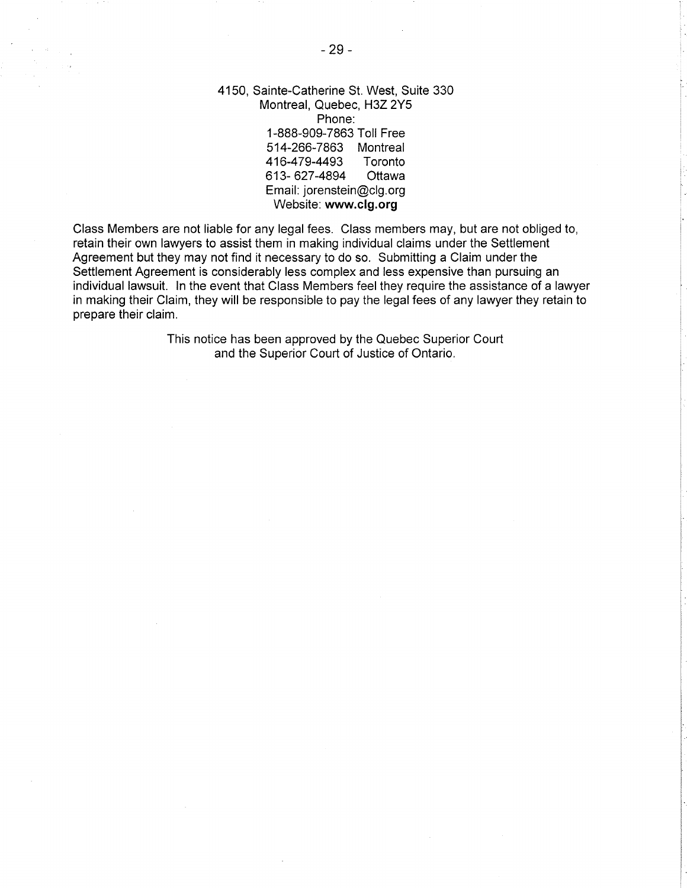4150, Sainte-Catherine St. West, Suite 330 Montreal, Quebec, H3Z 2Y5 Phone: 1-888-909-7863 Toll Free 514-266-7863 Montreal 416-479-4493 Toronto 613-627-4894 Ottawa Email: jorenstein@clg.org Website: **www.clg.org** 

Class Members are not liable for any legal fees. Class members may, but are not obliged to, retain their own lawyers to assist them in making individual claims under the Settlement Agreement but they may not find it necessary to do so. Submitting a Claim under the Settlement Agreement is considerably less complex and less expensive than pursuing an individual lawsuit. In the event that Class Members feel they require the assistance of a lawyer in making their Claim, they will be responsible to pay the legal fees of any lawyer they retain to prepare their claim.

> This notice has been approved by the Quebec Superior Court and the Superior Court of Justice of Ontario.